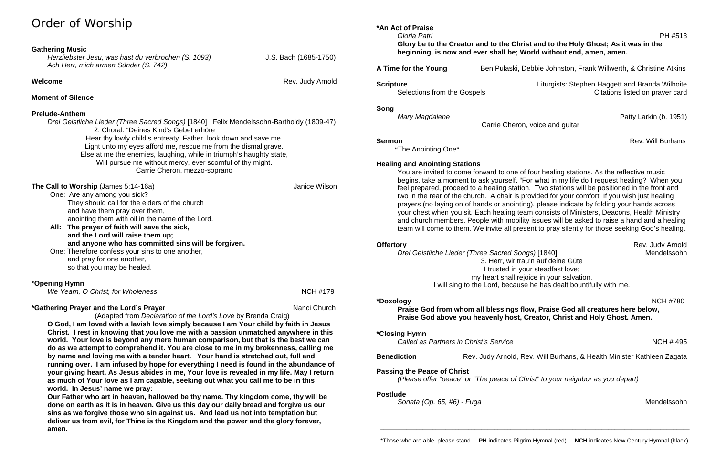# Order of Worship

## **Gathering Music**

*Herzliebster Jesu, was hast du verbrochen (S. 1093)* J.S. Bach (1685-1750) *Ach Herr, mich armen Sünder (S. 742)*

**Welcome Rev.** Judy Arnold **Rev.** Judy Arnold

## **Moment of Silence**

## **Prelude-Anthem**

*Drei Geistliche Lieder (Three Sacred Songs)* [1840] Felix Mendelssohn-Bartholdy (1809-47) 2. Choral: "Deines Kind's Gebet erhöre Hear thy lowly child's entreaty. Father, look down and save me. Light unto my eyes afford me, rescue me from the dismal grave. Else at me the enemies, laughing, while in triumph's haughty state, Will pursue me without mercy, ever scornful of thy might. Carrie Cheron, mezzo-soprano

## **The Call to Worship** (James 5:14-16a) **The Call to Worship** (James 5:14-16a)

One: Are any among you sick? They should call for the elders of the church and have them pray over them, anointing them with oil in the name of the Lord.

- **All: The prayer of faith will save the sick, and the Lord will raise them up; and anyone who has committed sins will be forgiven.**
- One: Therefore confess your sins to one another, and pray for one another, so that you may be healed.

## **\*Opening Hymn**

*We Yearn, O Christ, for Wholeness* **NCH #179** 

## **\*Gathering Prayer and the Lord's Prayer** Nanci Church

(Adapted from *Declaration of the Lord's Love* by Brenda Craig) **O God, I am loved with a lavish love simply because I am Your child by faith in Jesus Christ. I rest in knowing that you love me with a passion unmatched anywhere in this world. Your love is beyond any mere human comparison, but that is the best we can do as we attempt to comprehend it. You are close to me in my brokenness, calling me by name and loving me with a tender heart. Your hand is stretched out, full and** 

**running over. I am infused by hope for everything I need is found in the abundance of your giving heart. As Jesus abides in me, Your love is revealed in my life. May I return as much of Your love as I am capable, seeking out what you call me to be in this world. In Jesus' name we pray:**

**Offertory** Rev. Judy Arnold<br>*Drei Geistliche Lieder (Three Sacred Songs)* [1840] *Rev. Judy Arnold Drei Geistliche Lieder (Three Sacred Songs)* [1840] 3. Herr, wir trau'n auf deine Güte I trusted in your steadfast love; my heart shall rejoice in your salvation. I will sing to the Lord, because he has dealt bountifully with me.

**Our Father who art in heaven, hallowed be thy name. Thy kingdom come, thy will be done on earth as it is in heaven. Give us this day our daily bread and forgive us our sins as we forgive those who sin against us. And lead us not into temptation but deliver us from evil, for Thine is the Kingdom and the power and the glory forever, amen.**

**\*An Act of Praise**

 *Gloria Patri* PH #513 **Glory be to the Creator and to the Christ and to the Holy Ghost; As it was in the beginning, is now and ever shall be; World without end, amen, amen.**

**A Time for the Young** Ben Pulaski, Debbie Johnston, Frank Willwerth, & Christine Atkins

**Song**

Carrie Cheron, voice and guitar

**Sermon** Rev. Will Burhans

**"**The Anointing One**"**

## **Healing and Anointing Stations**

You are invited to come forward to one of four healing stations. As the reflective music begins, take a moment to ask yourself, "For what in my life do I request healing? When you feel prepared, proceed to a healing station. Two stations will be positioned in the front and two in the rear of the church. A chair is provided for your comfort. If you wish just healing prayers (no laying on of hands or anointing), please indicate by folding your hands across your chest when you sit. Each healing team consists of Ministers, Deacons, Health Ministry and church members. People with mobility issues will be asked to raise a hand and a healing team will come to them. We invite all present to pray silently for those seeking God's healing.

## **\*Doxology** NCH #780

**Praise God from whom all blessings flow, Praise God all creatures here below, Praise God above you heavenly host, Creator, Christ and Holy Ghost. Amen.**

## **\*Closing Hymn**

**Called as Partners in Christ's Service** NCH # 495

**Benediction** Rev. Judy Arnold, Rev. Will Burhans, & Health Minister Kathleen Zagata

**Passing the Peace of Christ**

*(Please offer "peace" or "The peace of Christ" to your neighbor as you depart)*

## **Postlude**

*Sonata (Op. 65, #6) - Fuga* Mendelssohn

\_\_\_\_\_\_\_\_\_\_\_\_\_\_\_\_\_\_\_\_\_\_\_\_\_\_\_\_\_\_\_\_\_\_\_\_\_\_\_\_\_\_\_\_\_\_\_\_\_\_\_\_\_\_\_\_\_\_\_\_\_\_\_\_\_\_\_\_\_\_\_\_\_\_\_\_\_\_\_\_\_\_\_\_\_\_\_\_\_\_\_\_\_\_\_

**Scripture Community Community Community Community** Liturgists: Stephen Haggett and Branda Wilhoite Selections from the Gospels Citations listed on prayer card

*Mary Magdalene* Patty Larkin (b. 1951)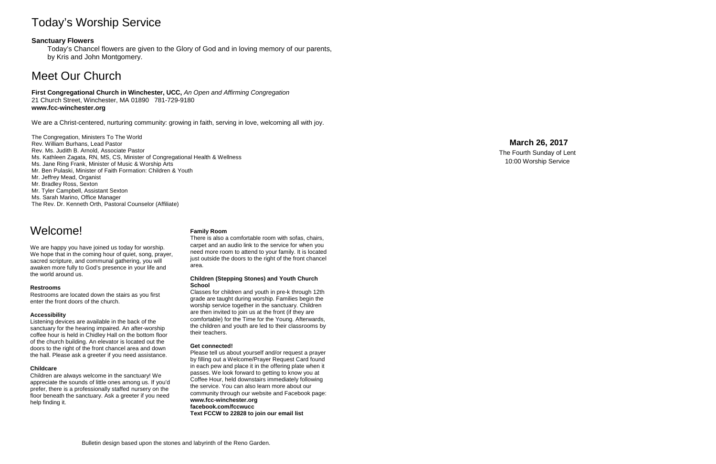# Today's Worship Service

## **Sanctuary Flowers**

Today's Chancel flowers are given to the Glory of God and in loving memory of our parents, by Kris and John Montgomery.

# Meet Our Church

**First Congregational Church in Winchester, UCC,** *An Open and Affirming Congregation* 21 Church Street, Winchester, MA 01890 781 -729 -9180 **www.fcc -winchester.org**

We are a Christ -centered, nurturing community: growing in faith, serving in love, welcoming all with joy.

The Congregation, Ministers To The World Rev. William Burhans, Lead Pastor Rev. Ms. Judith B. Arnold, Associate Pastor Ms. Kathleen Zagata, RN, MS, CS, Minister of Congregational Health & Wellness Ms. Jane Ring Frank, Minister of Music & Worship Arts Mr. Ben Pulaski, Minister of Faith Formation: Children & Youth Mr. Jeffrey Mead, Organist Mr. Bradley Ross, Sexton Mr. Tyler Campbell, Assistant Sexton Ms. Sarah Marino, Office Manager The Rev. Dr. Kenneth Orth, Pastoral Counselor (Affiliate)

## **March 26 , 2017**

The Fourth Sunday of Lent 10:00 Worship Service

# Welcome!

We are happy you have joined us today for worship. We hope that in the coming hour of quiet, song, prayer, sacred scripture, and communal gathering, you will awaken more fully to God's presence in your life and the world around us.

#### **Restrooms**

Restrooms are located down the stairs as you first enter the front doors of the church.

#### **Accessibility**

Listening devices are available in the back of the sanctuary for the hearing impaired. An after -worship coffee hour is held in Chidley Hall on the bottom floor of the church building. An elevator is located out the doors to the right of the front chancel area and down the hall. Please ask a greeter if you need assistance.

### **Childcare**

Children are always welcome in the sanctuary! We appreciate the sounds of little ones among us. If you'd prefer, there is a professionally staffed nursery on the floor beneath the sanctuary. Ask a greeter if you need help finding it.

### **Family Room**

There is also a comfortable room with sofas, chairs, carpet and an audio link to the service for when you need more room to attend to your family. It is located just outside the doors to the right of the front chancel area.

#### **Children (Stepping Stones) and Youth Church School**

Classes for children and youth in pre -k through 12th grade are taught during worship. Families begin the are then invited to join us at the front (if they are comfortable) for the Time for the Young. Afterwards, the children and youth are led to their classrooms by their teachers.

#### **Get connected!**

Please tell us about yourself and/or request a prayer by filling out a Welcome/Prayer Request Card found in each pew and place it in the offering plate when it passes. We look forward to getting to know you at Coffee Hour, held downstairs immediately following the service. You can also learn more about our community through our website and Facebook page: **www.fcc -winchester.org facebook.com/fccwucc Text FCCW to 22828 to join our email list**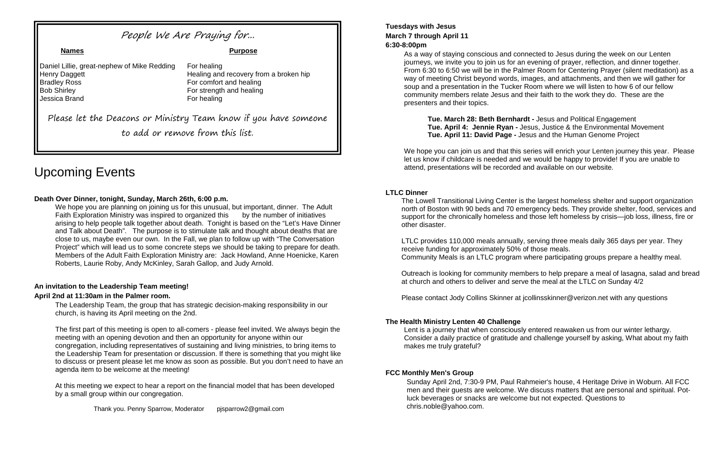# Upcoming Events

## **Death Over Dinner, tonight, Sunday, March 26th, 6:00 p.m.**

We hope you are planning on joining us for this unusual, but important, dinner. The Adult Faith Exploration Ministry was inspired to organized this by the number of initiatives arising to help people talk together about death. Tonight is based on the "Let's Have Dinner and Talk about Death". The purpose is to stimulate talk and thought about deaths that are close to us, maybe even our own. In the Fall, we plan to follow up with "The Conversation Project" which will lead us to some concrete steps we should be taking to prepare for death. Members of the Adult Faith Exploration Ministry are: Jack Howland, Anne Hoenicke, Karen Roberts, Laurie Roby, Andy McKinley, Sarah Gallop, and Judy Arnold.

## **An invitation to the Leadership Team meeting! April 2nd at 11:30am in the Palmer room.**

The Leadership Team, the group that has strategic decision-making responsibility in our church, is having its April meeting on the 2nd.

The first part of this meeting is open to all-comers - please feel invited. We always begin the meeting with an opening devotion and then an opportunity for anyone within our congregation, including representatives of sustaining and living ministries, to bring items to the Leadership Team for presentation or discussion. If there is something that you might like to discuss or present please let me know as soon as possible. But you don't need to have an agenda item to be welcome at the meeting!

We hope you can join us and that this series will enrich your Lenten journey this year. Please let us know if childcare is needed and we would be happy to provide! If you are unable to attend, presentations will be recorded and available on our website.

At this meeting we expect to hear a report on the financial model that has been developed by a small group within our congregation.

Thank you. Penny Sparrow, Moderator pjsparrow2@gmail.com

## **Tuesdays with Jesus March 7 through April 11 6:30-8:00pm**

As a way of staying conscious and connected to Jesus during the week on our Lenten journeys, we invite you to join us for an evening of prayer, reflection, and dinner together. From 6:30 to 6:50 we will be in the Palmer Room for Centering Prayer (silent meditation) as a way of meeting Christ beyond words, images, and attachments, and then we will gather for soup and a presentation in the Tucker Room where we will listen to how 6 of our fellow community members relate Jesus and their faith to the work they do. These are the presenters and their topics.

**Tue. March 28: Beth Bernhardt -** Jesus and Political Engagement **Tue. April 4: Jennie Ryan -** Jesus, Justice & the Environmental Movement **Tue. April 11: David Page -** Jesus and the Human Genome Project

## **LTLC Dinner**

The Lowell Transitional Living Center is the largest homeless shelter and support organization north of Boston with 90 beds and 70 emergency beds. They provide shelter, food, services and support for the chronically homeless and those left homeless by crisis—job loss, illness, fire or other disaster.

LTLC provides 110,000 meals annually, serving three meals daily 365 days per year. They receive funding for approximately 50% of those meals. Community Meals is an LTLC program where participating groups prepare a healthy meal.

Outreach is looking for community members to help prepare a meal of lasagna, salad and bread at church and others to deliver and serve the meal at the LTLC on Sunday 4/2

Please contact Jody Collins Skinner at jcollinsskinner@verizon.net with any questions

## **The Health Ministry Lenten 40 Challenge**

Lent is a journey that when consciously entered reawaken us from our winter lethargy. Consider a daily practice of gratitude and challenge yourself by asking, What about my faith makes me truly grateful?

## **FCC Monthly Men's Group**

Sunday April 2nd, 7:30-9 PM, Paul Rahmeier's house, 4 Heritage Drive in Woburn. All FCC men and their guests are welcome. We discuss matters that are personal and spiritual. Potluck beverages or snacks are welcome but not expected. Questions to chris.noble@yahoo.com.

# People We Are Praying for...

#### **Names Purpose**

Daniel Lillie, great-nephew of Mike Redding For healing **Bradley Ross** For comfort and healing Bob Shirley **For strength and healing** Jessica Brand For healing

Henry Daggett **Healing and recovery from a broken hip** 

Please let the Deacons or Ministry Team know if you have someone to add or remove from this list.